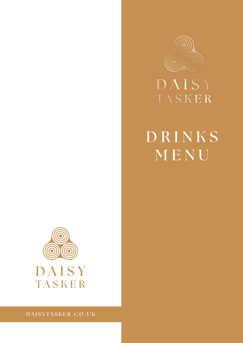

# DAISY TASKER

# **D R I N K S MENU**



**DAISYTASKER.CO.UK**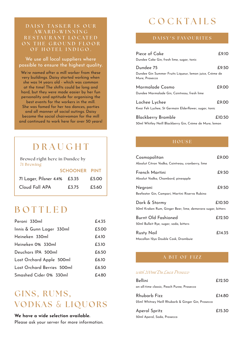# **DAISY TASKER IS OUR AWA R D - W I N N I N G R E S T A U R A N T L O C A T E D**  ON THE GROUND FLOOR OF HOTEL INDIGO.

We use all local suppliers where possible to ensure the highest quality.

We're named after a mill worker from these very buildings. Daisy started working when she was 14 years old - which was common at the time! The shifts could be long and hard, but they were made easier by her fun personality and aptitude for organising the best events for the workers in the mill. She was famed for her tea dances, parties and all manner of social outings. Daisy became the social chairwoman for the mill and continued to work here for over 50 years!

# **DRAUGHT**

**Brewed right here in Dundee by 71 Brewing**

|                              | SCHOONER PINT |       |
|------------------------------|---------------|-------|
| 71 Lager, Pilsner 4.4% £3.35 |               | £5.00 |
| Cloud Fall APA               | £3.75         | £5.60 |

# **BOTTLED**

| Peroni 330ml               | £4.35 |
|----------------------------|-------|
| Innis & Gunn Lager 330ml   | £5.00 |
| Heineken 330ml             | £4.10 |
| Heineken 0% 330ml          | £3.10 |
| Deuchars IPA 500ml         | £6.50 |
| Lost Orchard Apple 500ml   | £6.10 |
| Lost Orchard Berries 500ml | £6.50 |
| Smashed Cider 0% 330ml     | £4.80 |

# **GINS, RUMS, VODKAS** & **LIQUORS**

# **We have a wide selection available.**

Please ask your server for more information.

# **COCKTAILS**

# **DAISY ' S FAVO U R I T E S**

| Piece of Cake<br>Dundee Cake Gin, fresh lime, sugar, tonic                             | £9.10  |
|----------------------------------------------------------------------------------------|--------|
| Dundee 75<br>Dundee Gin Summer Fruits Liqueur, lemon juice, Crème de<br>Mure, Prosecco | £9.50  |
| Marmalade Cosmo<br>Dundee Marmalade Gin, Cointreau, fresh lime                         | £9.00  |
| Lochee Lychee<br>Kwai Feh Lychee, St Germain Elderflower, sugar, tonic                 | £9.00  |
| Blackberry Bramble<br>50ml Whitley Neill Blackberry Gin, Crème de Mure, lemon          | £10.50 |

# **HOUSE**

| Cosmopolitan<br>Absolut Citron Vodka, Cointreau, cranberry, lime             | £9.00  |
|------------------------------------------------------------------------------|--------|
| French Martini<br>Absolut Vodka, Chambord, pineapple                         | £9.50  |
| Negroni<br>Beefeater Gin, Campari, Martini Riserva Rubino                    | £9.50  |
| Dark & Stormy<br>50ml Kraken Rum, Ginger Beer, lime, demerara sugar, bitters | £10.50 |
| <b>Burnt Old Fashioned</b><br>50ml Bulleit Rye, sugar, soda, bitters         | £12.50 |
| <b>Rusty Nail</b><br>Macallan 12yo Double Cask, Drambuie                     | £14.35 |

# **A BIT OF FIZZ**

# *with 200ml Du Luca Prosecco*

| Bellini                                           | £12.50 |
|---------------------------------------------------|--------|
| an all-time classic, Peach Puree, Prosecco        |        |
| <b>Rhubarb Fizz</b>                               | £14.80 |
| 25ml Whitney Neill Rhubarb & Ginger Gin, Prosecco |        |

| Aperol Spritz               | £15.30 |
|-----------------------------|--------|
| 50ml Aperol, Soda, Prosecco |        |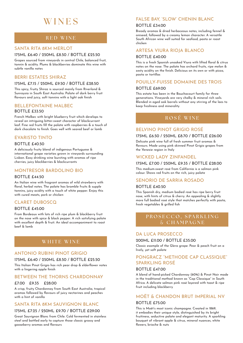# **WINES**

# **RED WINE**

# SANTA RITA 8KM MERLOT

### 175ML £6.40 / 250ML £8.50 / BOTTLE £25.50

Grapes sourced from vineyards in central Chile, balanced fruit, tannin & acidity. Plums & blackberries dominate this wine with subtle vanilla notes

# BERRI ESTATES SHIRAZ

### 175ML £7.15 / 250ML £9.50 / BOTTLE £28.50

This spicy, fruity Shiraz is sourced mainly from Riverland & Sunraysia in South East Australia. Palate of dark berry fruit flavours and juicy, soft tannins with a light oak finish

# BELLEFONTAINE MALBEC BOTTLE £33.50

French Malbec with bright blueberry fruit which develops to reveal an intriguing bitter-sweet character of blackcurrant leaf. Fine red fruits fill the palate with raspberries & a touch of dark chocolate to finish. Goes well with seared beef or lamb

# EVARISTO TINTO

#### BOTTLE £40.50

A deliciously fruity blend of indigenous Portuguese & international grape varieties grown in vineyards surrounding Lisbon. Easy drinking wine bursting with aromas of ripe cherries, juicy blackberries & blackcurrants

# MONTRESOR BARDOLINO BIO

#### BOTTLE £44.50

An Italian wine with fragrant aromas of wild strawberry with floral, herbal notes. The palate has bramble fruits & supple tannins, juicy acidity with a touch of white pepper. Enjoy this with cured meats, pork or chicken

# CLARET DUBOSCQ

### BOTTLE £45.00

From Bordeaux with lots of rich ripe plum & blackberry fruit on the nose with spice & black pepper. A rich satisfying palate with excellent depth & fruit. An ideal accompaniment to roast beef & lamb

# **WHITE WINE**

# ANTONIO RUBINI PINOT GRIGIO

#### 175ML £6.40 / 250ML £8.50 / BOTTLE £25.50

This Italian Pinot Grigio has rich pear drop & elderflower notes with a lingering apple finish

# BETWEEN THE THORNS CHARDONNAY

#### £7.00 £9.35 £28.00

A crisp, fruity Chardonnay from South East Australia, tropical aromas followed by flavours of juicy nectarines and peaches with a hint of vanilla

# SANTA RITA 8KM SAUVIGNON BLANC

#### 175ML £7.25 / 250ML £9.70 / BOTTLE £29.00

Great Sauvignon Blanc from Chile. Cold fermented in stainless steel and bottled early to capture those classic grassy and gooseberry aromas and flavours

# FALSE BAY, 'SLOW' CHENIN BLANC

#### BOTTLE £34.00

Bready aromas & dried herbaceous notes, including fennel & aniseed, followed by a creamy lemon character. A versatile South African wine well suited for seafood, pasta or roast chicken

### ARTESA VIURA RIOJA BLANCO

# BOTTLE £40.00

This is a fresh Spanish unoaked Viura with lifted floral & citrus notes on the nose. The palate has orchard fruits, ripe melon & zesty acidity on the finish. Delicious on its own or with pizza, pasta or tortillas

# POUILLY-FUISSE DOMAINE DES TROIS

#### BOTTLE £69.00

This estate has been in the Bouchacourt family for three generations. Vineyards are very chalky & mineral rich soils. Blended in aged oak barrels without any stirring of the lees to keep freshness and minerality

# **ROS** É **WINE**

# BELVINO PINOT GRIGIO ROSÉ

#### 175ML £6.50 / 250ML £8.70 / BOTTLE £26.00

Delicate pink wine full of fresh summer fruit aromas & flavours. Made using pink skinned Pinot Grigio grapes from the Venezie region in Italy

# WICKED LADY ZINFANDEL

## 175ML £7.00 / 250ML £9.35 / BOTTLE £28.00

This medium-sweet rosé from California is a salmon pink colour. Shows red fruits on the rich, juicy palate

# SENORIO DE SARRIA ROSADO

#### BOTTLE £40.50

This Spanish dry, medium bodied rosé has ripe berry fruit nose, with hints of citrus & cherry. An appealing & slightly more full bodied rosé style that matches perfectly with pasta, fresh vegetables & grilled fish

# **PROSECCO, SPARKLING** & **CHAMPAGNE**

# DA LUCA PROSECCO

#### 200ML £11.00 / BOTTLE £35.00

Classic example of the Glera grape. Pear & peach fruit on a lively, yet soft palate

# PONGRACZ "METHODE CAP CLASSIQUE" SPARKLING ROSÉ

#### BOTTLE £47.00

A blend of hand-picked Chardonnay (60%) & Pinot Noir made in the traditional method known as "Cap Classique" in South Africa. A delicate salmon pink rosé layered with toast & ripe fruit including blackberry

# MOËT & CHANDON BRUT IMPERIAL NV

#### BOTTLE £75.00

This is Moët's most iconic champagne. Created in 1869, it embodies their unique style, distinguished by its bright fruitiness, seductive palate and elegant maturity. A sparkling bouquet of vibrant apple & citrus, mineral nuances, white flowers, brioche & nuts